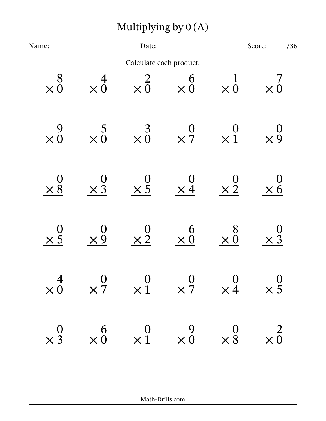| Multiplying by $0(A)$                        |                                                                            |                          |                                                         |                                              |                                            |  |  |  |
|----------------------------------------------|----------------------------------------------------------------------------|--------------------------|---------------------------------------------------------|----------------------------------------------|--------------------------------------------|--|--|--|
| Name:                                        | Date:                                                                      |                          |                                                         | Score:<br>/36                                |                                            |  |  |  |
|                                              |                                                                            | Calculate each product.  |                                                         |                                              |                                            |  |  |  |
| 8<br>$\times 0$                              | 4<br>$\times 0$                                                            | $\times 0$               | 6<br>$\times 0$                                         | $\times 0$                                   | $\times 0$                                 |  |  |  |
| 9<br>$\times 0$                              | $\overline{c}$<br>$\times 0$                                               | $\times \stackrel{3}{0}$ | $\times 7$                                              | $\times 1$                                   | $\times 9$                                 |  |  |  |
| $\times$ 8                                   | $\times$ 3                                                                 | $\times \frac{0}{5}$     | $\times 4$                                              | $\times\frac{0}{2}$                          | $\times 6$                                 |  |  |  |
| $\times$ 5                                   | $\times 9$                                                                 | $\times 2$               | 6<br>$\times 0$                                         | 8<br>$\times 0$                              | $\times$ 3                                 |  |  |  |
| $\begin{array}{c} 4 \\ \times 0 \end{array}$ | $\begin{matrix} 0&0&0&0\ \times 7&\times 1&\times 7&\times 4 \end{matrix}$ |                          |                                                         |                                              | $\begin{array}{c}0 \\ \times 5\end{array}$ |  |  |  |
| $\begin{array}{c} 0 \\ \times 3 \end{array}$ | $\begin{array}{c} 6 \\ \times 0 \end{array}$                               |                          | $\begin{matrix}0 & 9\\ \times 1 & \times 0\end{matrix}$ | $\begin{array}{c} 0 \\ \times 8 \end{array}$ | $\times \frac{2}{0}$                       |  |  |  |